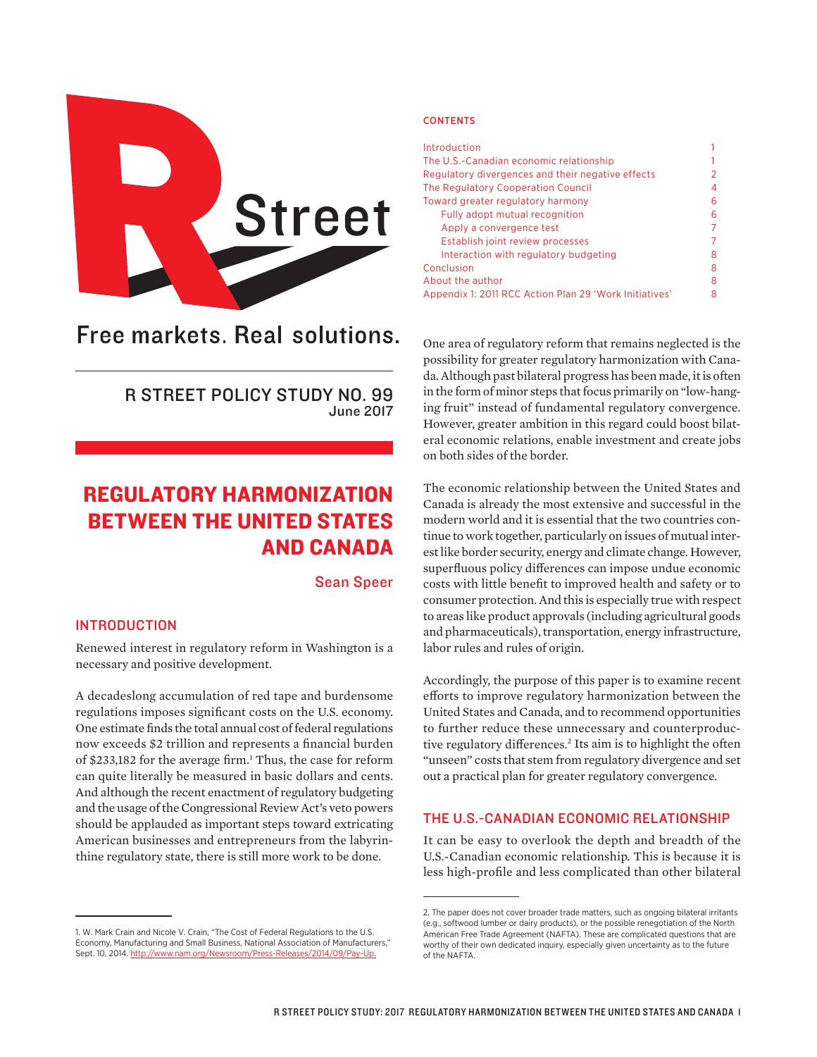

# Free markets. Real solutions.

R STREET POLICY STUDY NO. 99 June 2017

# REGULATORY HARMONIZATION BETWEEN THE UNITED STATES AND CANADA

Sean Speer

## INTRODUCTION

Renewed interest in regulatory reform in Washington is a necessary and positive development.

A decadeslong accumulation of red tape and burdensome regulations imposes significant costs on the U.S. economy. One estimate finds the total annual cost of federal regulations now exceeds \$2 trillion and represents a financial burden of \$233,182 for the average firm.<sup>1</sup> Thus, the case for reform can quite literally be measured in basic dollars and cents. And although the recent enactment of regulatory budgeting and the usage of the Congressional Review Act's veto powers should be applauded as important steps toward extricating American businesses and entrepreneurs from the labyrinthine regulatory state, there is still more work to be done.

1. W. Mark Crain and Nicole V. Crain, "The Cost of Federal Regulations to the U.S. Economy, Manufacturing and Small Business, National Association of Manufacturers," Sept. 10, 2014. <http://www.nam.org/Newsroom/Press-Releases/2014/09/Pay-Up>.

#### **CONTENTS**

| Introduction                                           |   |
|--------------------------------------------------------|---|
| The U.S.-Canadian economic relationship                |   |
| Regulatory divergences and their negative effects      |   |
| The Regulatory Cooperation Council                     | 4 |
| Toward greater regulatory harmony                      | 6 |
| Fully adopt mutual recognition                         | 6 |
| Apply a convergence test                               |   |
| Establish joint review processes                       |   |
| Interaction with regulatory budgeting                  | 8 |
| Conclusion                                             | 8 |
| About the author                                       | 8 |
| Appendix 1: 2011 RCC Action Plan 29 'Work Initiatives' |   |

One area of regulatory reform that remains neglected is the possibility for greater regulatory harmonization with Canada. Although past bilateral progress has been made, it is often in the form of minor steps that focus primarily on "low-hanging fruit" instead of fundamental regulatory convergence. However, greater ambition in this regard could boost bilateral economic relations, enable investment and create jobs on both sides of the border.

The economic relationship between the United States and Canada is already the most extensive and successful in the modern world and it is essential that the two countries continue to work together, particularly on issues of mutual interest like border security, energy and climate change. However, superfluous policy differences can impose undue economic costs with little benefit to improved health and safety or to consumer protection. And this is especially true with respect to areas like product approvals (including agricultural goods and pharmaceuticals), transportation, energy infrastructure, labor rules and rules of origin.

Accordingly, the purpose of this paper is to examine recent efforts to improve regulatory harmonization between the United States and Canada, and to recommend opportunities to further reduce these unnecessary and counterproductive regulatory differences.<sup>2</sup> Its aim is to highlight the often "unseen" costs that stem from regulatory divergence and set out a practical plan for greater regulatory convergence.

## THE U.S.-CANADIAN ECONOMIC RELATIONSHIP

It can be easy to overlook the depth and breadth of the U.S.-Canadian economic relationship. This is because it is less high-profile and less complicated than other bilateral

<sup>2.</sup> The paper does not cover broader trade matters, such as ongoing bilateral irritants (e.g., softwood lumber or dairy products), or the possible renegotiation of the North American Free Trade Agreement (NAFTA). These are complicated questions that are worthy of their own dedicated inquiry, especially given uncertainty as to the future of the NAFTA.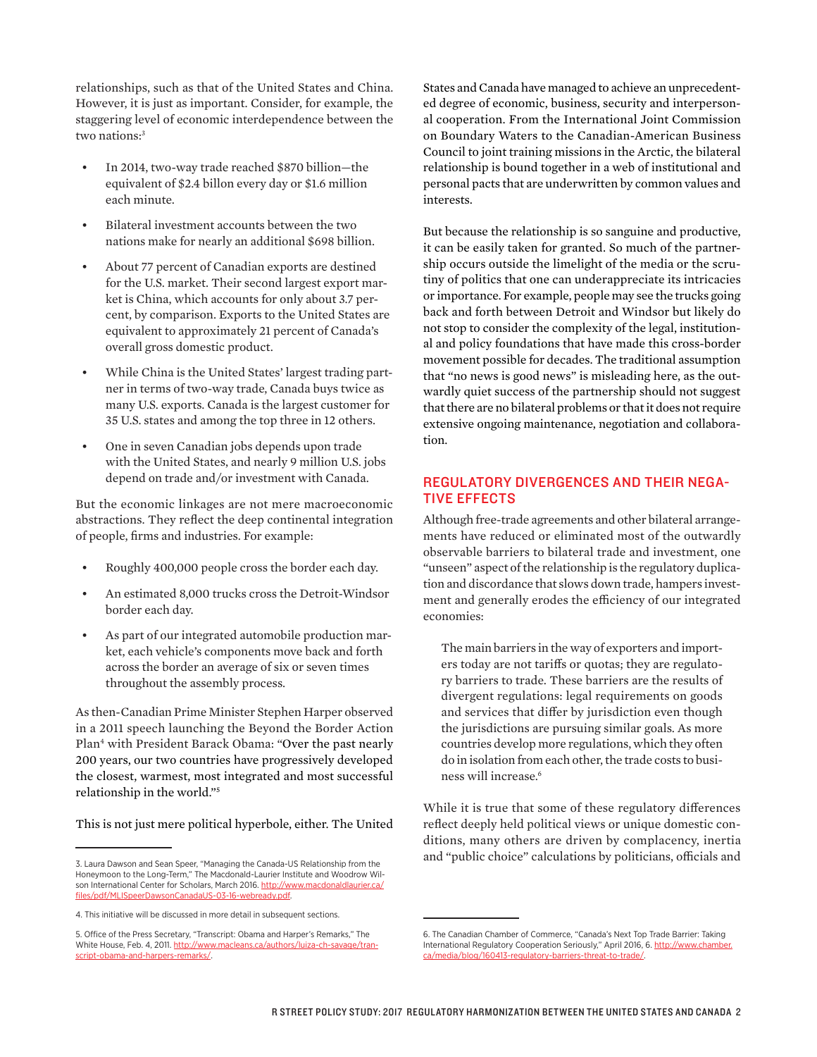relationships, such as that of the United States and China. However, it is just as important. Consider, for example, the staggering level of economic interdependence between the two nations:<sup>3</sup>

- In 2014, two-way trade reached \$870 billion—the equivalent of \$2.4 billon every day or \$1.6 million each minute.
- Bilateral investment accounts between the two nations make for nearly an additional \$698 billion.
- About 77 percent of Canadian exports are destined for the U.S. market. Their second largest export market is China, which accounts for only about 3.7 percent, by comparison. Exports to the United States are equivalent to approximately 21 percent of Canada's overall gross domestic product.
- While China is the United States' largest trading partner in terms of two-way trade, Canada buys twice as many U.S. exports. Canada is the largest customer for 35 U.S. states and among the top three in 12 others.
- One in seven Canadian jobs depends upon trade with the United States, and nearly 9 million U.S. jobs depend on trade and/or investment with Canada.

But the economic linkages are not mere macroeconomic abstractions. They reflect the deep continental integration of people, firms and industries. For example:

- Roughly 400,000 people cross the border each day.
- An estimated 8,000 trucks cross the Detroit-Windsor border each day.
- As part of our integrated automobile production market, each vehicle's components move back and forth across the border an average of six or seven times throughout the assembly process.

As then-Canadian Prime Minister Stephen Harper observed in a 2011 speech launching the Beyond the Border Action Plan4 with President Barack Obama: "Over the past nearly 200 years, our two countries have progressively developed the closest, warmest, most integrated and most successful relationship in the world."5

This is not just mere political hyperbole, either. The United

States and Canada have managed to achieve an unprecedented degree of economic, business, security and interpersonal cooperation. From the International Joint Commission on Boundary Waters to the Canadian-American Business Council to joint training missions in the Arctic, the bilateral relationship is bound together in a web of institutional and personal pacts that are underwritten by common values and interests.

But because the relationship is so sanguine and productive, it can be easily taken for granted. So much of the partnership occurs outside the limelight of the media or the scrutiny of politics that one can underappreciate its intricacies or importance. For example, people may see the trucks going back and forth between Detroit and Windsor but likely do not stop to consider the complexity of the legal, institutional and policy foundations that have made this cross-border movement possible for decades. The traditional assumption that "no news is good news" is misleading here, as the outwardly quiet success of the partnership should not suggest that there are no bilateral problems or that it does not require extensive ongoing maintenance, negotiation and collaboration.

## REGULATORY DIVERGENCES AND THEIR NEGA-TIVE EFFECTS

Although free-trade agreements and other bilateral arrangements have reduced or eliminated most of the outwardly observable barriers to bilateral trade and investment, one "unseen" aspect of the relationship is the regulatory duplication and discordance that slows down trade, hampers investment and generally erodes the efficiency of our integrated economies:

The main barriers in the way of exporters and importers today are not tariffs or quotas; they are regulatory barriers to trade. These barriers are the results of divergent regulations: legal requirements on goods and services that differ by jurisdiction even though the jurisdictions are pursuing similar goals. As more countries develop more regulations, which they often do in isolation from each other, the trade costs to business will increase.6

While it is true that some of these regulatory differences reflect deeply held political views or unique domestic conditions, many others are driven by complacency, inertia and "public choice" calculations by politicians, officials and

<sup>3.</sup> Laura Dawson and Sean Speer, "Managing the Canada-US Relationship from the Honeymoon to the Long-Term," The Macdonald-Laurier Institute and Woodrow Wilson International Center for Scholars, March 2016. [http://www.macdonaldlaurier.ca/](http://www.macdonaldlaurier.ca/files/pdf/MLISpeerDawsonCanadaUS-03-16-webready.pdf) [files/pdf/MLISpeerDawsonCanadaUS-03-16-webready.pdf](http://www.macdonaldlaurier.ca/files/pdf/MLISpeerDawsonCanadaUS-03-16-webready.pdf).

<sup>4.</sup> This initiative will be discussed in more detail in subsequent sections.

<sup>5.</sup> Office of the Press Secretary, "Transcript: Obama and Harper's Remarks," The White House, Feb. 4, 2011. [http://www.macleans.ca/authors/luiza-ch-savage/tran](http://www.macleans.ca/authors/luiza-ch-savage/transcript-obama-and-harpers-remarks/)[script-obama-and-harpers-remarks/](http://www.macleans.ca/authors/luiza-ch-savage/transcript-obama-and-harpers-remarks/).

<sup>6.</sup> The Canadian Chamber of Commerce, "Canada's Next Top Trade Barrier: Taking International Regulatory Cooperation Seriously," April 2016, 6. [http://www.chamber.](http://www.chamber.ca/media/blog/160413-regulatory-barriers-threat-to-trade/) [ca/media/blog/160413-regulatory-barriers-threat-to-trade/.](http://www.chamber.ca/media/blog/160413-regulatory-barriers-threat-to-trade/)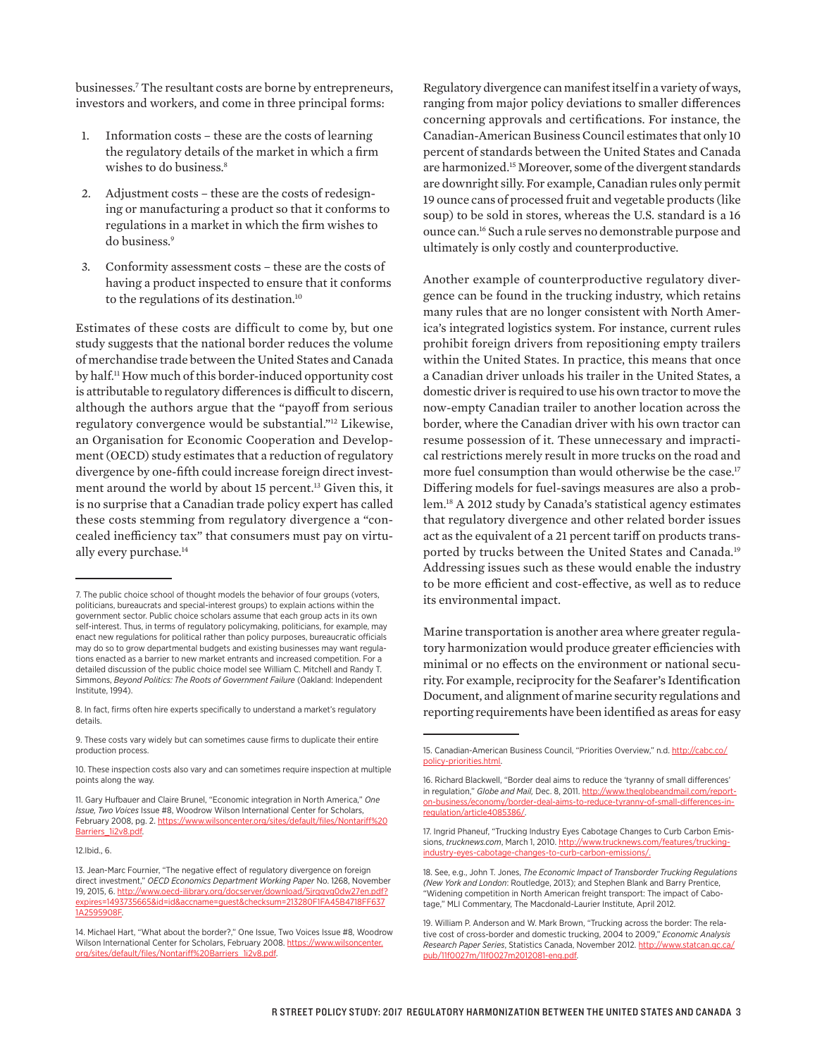businesses.7 The resultant costs are borne by entrepreneurs, investors and workers, and come in three principal forms:

- 1. Information costs these are the costs of learning the regulatory details of the market in which a firm wishes to do business.<sup>8</sup>
- 2. Adjustment costs these are the costs of redesigning or manufacturing a product so that it conforms to regulations in a market in which the firm wishes to do business.9
- 3. Conformity assessment costs these are the costs of having a product inspected to ensure that it conforms to the regulations of its destination.10

Estimates of these costs are difficult to come by, but one study suggests that the national border reduces the volume of merchandise trade between the United States and Canada by half.11 How much of this border-induced opportunity cost is attributable to regulatory differences is difficult to discern, although the authors argue that the "payoff from serious regulatory convergence would be substantial."12 Likewise, an Organisation for Economic Cooperation and Development (OECD) study estimates that a reduction of regulatory divergence by one-fifth could increase foreign direct investment around the world by about 15 percent.<sup>13</sup> Given this, it is no surprise that a Canadian trade policy expert has called these costs stemming from regulatory divergence a "concealed inefficiency tax" that consumers must pay on virtually every purchase.<sup>14</sup>

Regulatory divergence can manifest itself in a variety of ways, ranging from major policy deviations to smaller differences concerning approvals and certifications. For instance, the Canadian-American Business Council estimates that only 10 percent of standards between the United States and Canada are harmonized.15 Moreover, some of the divergent standards are downright silly. For example, Canadian rules only permit 19 ounce cans of processed fruit and vegetable products (like soup) to be sold in stores, whereas the U.S. standard is a 16 ounce can.16 Such a rule serves no demonstrable purpose and ultimately is only costly and counterproductive.

Another example of counterproductive regulatory divergence can be found in the trucking industry, which retains many rules that are no longer consistent with North America's integrated logistics system. For instance, current rules prohibit foreign drivers from repositioning empty trailers within the United States. In practice, this means that once a Canadian driver unloads his trailer in the United States, a domestic driver is required to use his own tractor to move the now-empty Canadian trailer to another location across the border, where the Canadian driver with his own tractor can resume possession of it. These unnecessary and impractical restrictions merely result in more trucks on the road and more fuel consumption than would otherwise be the case.<sup>17</sup> Differing models for fuel-savings measures are also a problem.18 A 2012 study by Canada's statistical agency estimates that regulatory divergence and other related border issues act as the equivalent of a 21 percent tariff on products transported by trucks between the United States and Canada.19 Addressing issues such as these would enable the industry to be more efficient and cost-effective, as well as to reduce its environmental impact.

Marine transportation is another area where greater regulatory harmonization would produce greater efficiencies with minimal or no effects on the environment or national security. For example, reciprocity for the Seafarer's Identification Document, and alignment of marine security regulations and reporting requirements have been identified as areas for easy

<sup>7.</sup> The public choice school of thought models the behavior of four groups (voters, politicians, bureaucrats and special-interest groups) to explain actions within the government sector. Public choice scholars assume that each group acts in its own self-interest. Thus, in terms of regulatory policymaking, politicians, for example, may enact new regulations for political rather than policy purposes, bureaucratic officials may do so to grow departmental budgets and existing businesses may want regulations enacted as a barrier to new market entrants and increased competition. For a detailed discussion of the public choice model see William C. Mitchell and Randy T. Simmons, *Beyond Politics: The Roots of Government Failure* (Oakland: Independent Institute, 1994).

<sup>8.</sup> In fact, firms often hire experts specifically to understand a market's regulatory details.

<sup>9.</sup> These costs vary widely but can sometimes cause firms to duplicate their entire production process.

<sup>10.</sup> These inspection costs also vary and can sometimes require inspection at multiple points along the way.

<sup>11.</sup> Gary Hufbauer and Claire Brunel, "Economic integration in North America," *One Issue, Two Voices* Issue #8, Woodrow Wilson International Center for Scholars, February 2008, pg. 2. [https://www.wilsoncenter.org/sites/default/files/Nontariff%20](https://www.wilsoncenter.org/sites/default/files/Nontariff%20Barriers_1i2v8.pdf) [Barriers\\_1i2v8.pdf.](https://www.wilsoncenter.org/sites/default/files/Nontariff%20Barriers_1i2v8.pdf)

<sup>12.</sup>Ibid., 6.

<sup>13.</sup> Jean-Marc Fournier, "The negative effect of regulatory divergence on foreign direct investment," *OECD Economics Department Working Paper* No. 1268, November 19, 2015, 6. [http://www.oecd-ilibrary.org/docserver/download/5jrqgvg0dw27en.pdf?](http://www.oecd-ilibrary.org/docserver/download/5jrqgvg0dw27-en.pdf?expires=1493735665&id=id&accname=guest&checksum=213280F1FA45B4718FF6371A2595908F) [expires=1493735665&id=id&accname=guest&checksum=213280F1FA45B4718FF637](http://www.oecd-ilibrary.org/docserver/download/5jrqgvg0dw27-en.pdf?expires=1493735665&id=id&accname=guest&checksum=213280F1FA45B4718FF6371A2595908F) [1A2595908F](http://www.oecd-ilibrary.org/docserver/download/5jrqgvg0dw27-en.pdf?expires=1493735665&id=id&accname=guest&checksum=213280F1FA45B4718FF6371A2595908F).

<sup>14.</sup> Michael Hart, "What about the border?," One Issue, Two Voices Issue #8, Woodrow Wilson International Center for Scholars, February 2008. [https://www.wilsoncenter.](https://www.wilsoncenter.org/sites/default/files/Nontariff%20Barriers_1i2v8.pdf) [org/sites/default/files/Nontariff%20Barriers\\_1i2v8.pdf.](https://www.wilsoncenter.org/sites/default/files/Nontariff%20Barriers_1i2v8.pdf)

<sup>15.</sup> Canadian-American Business Council, "Priorities Overview," n.d. [http://cabc.co/](http://cabc.co/policy-priorities.html) [policy-priorities.html](http://cabc.co/policy-priorities.html).

<sup>16.</sup> Richard Blackwell, "Border deal aims to reduce the 'tyranny of small differences' in regulation," Globe and Mail, Dec. 8, 2011. [http://www.theglobeandmail.com/report](http://www.theglobeandmail.com/report-on-business/economy/border-deal-aims-to-reduce-tyranny-of-small-differences-in-regulation/article4085386/)[on-business/economy/border-deal-aims-to-reduce-tyranny-of-small-differences-in](http://www.theglobeandmail.com/report-on-business/economy/border-deal-aims-to-reduce-tyranny-of-small-differences-in-regulation/article4085386/)[regulation/article4085386/](http://www.theglobeandmail.com/report-on-business/economy/border-deal-aims-to-reduce-tyranny-of-small-differences-in-regulation/article4085386/).

<sup>17.</sup> Ingrid Phaneuf, "Trucking Industry Eyes Cabotage Changes to Curb Carbon Emissions, *trucknews.com*, March 1, 2010. [http://www.trucknews.com/features/trucking](http://www.trucknews.com/features/trucking-industry-eyes-cabotage-changes-to-curb-carbon-emissions/)[industry-eyes-cabotage-changes-to-curb-carbon-emissions/.](http://www.trucknews.com/features/trucking-industry-eyes-cabotage-changes-to-curb-carbon-emissions/)

<sup>18.</sup> See, e.g., John T. Jones, *The Economic Impact of Transborder Trucking Regulations (New York and London*: Routledge, 2013); and Stephen Blank and Barry Prentice, "Widening competition in North American freight transport: The impact of Cabotage," MLI Commentary, The Macdonald-Laurier Institute, April 2012.

<sup>19.</sup> William P. Anderson and W. Mark Brown, "Trucking across the border: The relative cost of cross-border and domestic trucking, 2004 to 2009," *Economic Analysis Research Paper Series*, Statistics Canada, November 2012. [http://www.statcan.gc.ca/](http://www.statcan.gc.ca/pub/11f0027m/11f0027m2012081-eng.pdf) [pub/11f0027m/11f0027m2012081-eng.pdf](http://www.statcan.gc.ca/pub/11f0027m/11f0027m2012081-eng.pdf).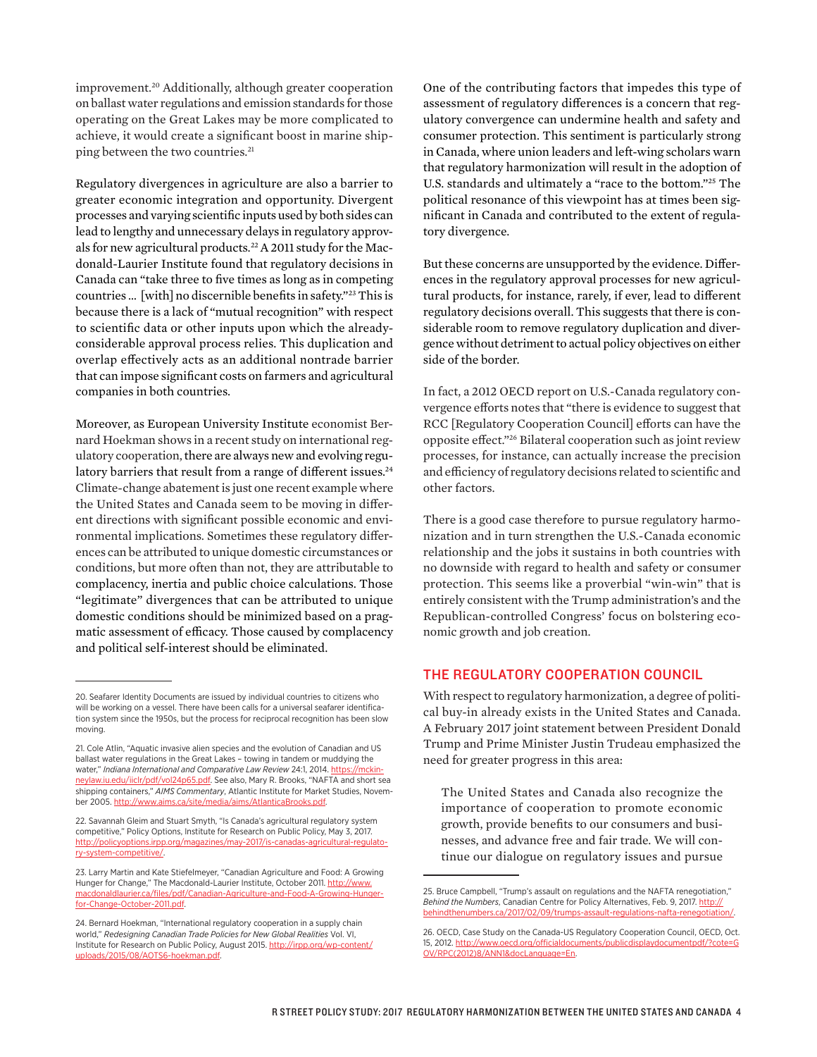improvement.<sup>20</sup> Additionally, although greater cooperation on ballast water regulations and emission standards for those operating on the Great Lakes may be more complicated to achieve, it would create a significant boost in marine shipping between the two countries.<sup>21</sup>

Regulatory divergences in agriculture are also a barrier to greater economic integration and opportunity. Divergent processes and varying scientific inputs used by both sides can lead to lengthy and unnecessary delays in regulatory approvals for new agricultural products.<sup>22</sup> A 2011 study for the Macdonald-Laurier Institute found that regulatory decisions in Canada can "take three to five times as long as in competing countries … [with] no discernible benefits in safety."23 This is because there is a lack of "mutual recognition" with respect to scientific data or other inputs upon which the alreadyconsiderable approval process relies. This duplication and overlap effectively acts as an additional nontrade barrier that can impose significant costs on farmers and agricultural companies in both countries.

Moreover, as European University Institute economist Bernard Hoekman shows in a recent study on international regulatory cooperation, there are always new and evolving regulatory barriers that result from a range of different issues.<sup>24</sup> Climate-change abatement is just one recent example where the United States and Canada seem to be moving in different directions with significant possible economic and environmental implications. Sometimes these regulatory differences can be attributed to unique domestic circumstances or conditions, but more often than not, they are attributable to complacency, inertia and public choice calculations. Those "legitimate" divergences that can be attributed to unique domestic conditions should be minimized based on a pragmatic assessment of efficacy. Those caused by complacency and political self-interest should be eliminated.

One of the contributing factors that impedes this type of assessment of regulatory differences is a concern that regulatory convergence can undermine health and safety and consumer protection. This sentiment is particularly strong in Canada, where union leaders and left-wing scholars warn that regulatory harmonization will result in the adoption of U.S. standards and ultimately a "race to the bottom."25 The political resonance of this viewpoint has at times been significant in Canada and contributed to the extent of regulatory divergence.

But these concerns are unsupported by the evidence. Differences in the regulatory approval processes for new agricultural products, for instance, rarely, if ever, lead to different regulatory decisions overall. This suggests that there is considerable room to remove regulatory duplication and divergence without detriment to actual policy objectives on either side of the border.

In fact, a 2012 OECD report on U.S.-Canada regulatory convergence efforts notes that "there is evidence to suggest that RCC [Regulatory Cooperation Council] efforts can have the opposite effect."26 Bilateral cooperation such as joint review processes, for instance, can actually increase the precision and efficiency of regulatory decisions related to scientific and other factors.

There is a good case therefore to pursue regulatory harmonization and in turn strengthen the U.S.-Canada economic relationship and the jobs it sustains in both countries with no downside with regard to health and safety or consumer protection. This seems like a proverbial "win-win" that is entirely consistent with the Trump administration's and the Republican-controlled Congress' focus on bolstering economic growth and job creation.

# THE REGULATORY COOPERATION COUNCIL

With respect to regulatory harmonization, a degree of political buy-in already exists in the United States and Canada. A February 2017 joint statement between President Donald Trump and Prime Minister Justin Trudeau emphasized the need for greater progress in this area:

The United States and Canada also recognize the importance of cooperation to promote economic growth, provide benefits to our consumers and businesses, and advance free and fair trade. We will continue our dialogue on regulatory issues and pursue

<sup>20.</sup> Seafarer Identity Documents are issued by individual countries to citizens who will be working on a vessel. There have been calls for a universal seafarer identification system since the 1950s, but the process for reciprocal recognition has been slow moving.

<sup>21.</sup> Cole Atlin, "Aquatic invasive alien species and the evolution of Canadian and US ballast water regulations in the Great Lakes – towing in tandem or muddying the water," *Indiana International and Comparative Law Review* 24:1, 2014. [https://mckin](https://mckinneylaw.iu.edu/iiclr/pdf/vol24p65.pdf)[neylaw.iu.edu/iiclr/pdf/vol24p65.pdf.](https://mckinneylaw.iu.edu/iiclr/pdf/vol24p65.pdf) See also, Mary R. Brooks, "NAFTA and short sea shipping containers," *AIMS Commentary*, Atlantic Institute for Market Studies, November 2005. [http://www.aims.ca/site/media/aims/AtlanticaBrooks.pdf.](http://www.aims.ca/site/media/aims/AtlanticaBrooks.pdf)

<sup>22.</sup> Savannah Gleim and Stuart Smyth, "Is Canada's agricultural regulatory system competitive," Policy Options, Institute for Research on Public Policy, May 3, 2017. [http://policyoptions.irpp.org/magazines/may-2017/is-canadas-agricultural-regulato](http://policyoptions.irpp.org/magazines/may-2017/is-canadas-agricultural-regulatory-system-competitive/)[ry-system-competitive/](http://policyoptions.irpp.org/magazines/may-2017/is-canadas-agricultural-regulatory-system-competitive/).

<sup>23.</sup> Larry Martin and Kate Stiefelmeyer, "Canadian Agriculture and Food: A Growing Hunger for Change," The Macdonald-Laurier Institute, October 2011. [http://www.](http://www.macdonaldlaurier.ca/files/pdf/Canadian-Agriculture-and-Food-A-Growing-Hunger-for-Change-October-2011.pdf) [macdonaldlaurier.ca/files/pdf/Canadian-Agriculture-and-Food-A-Growing-Hunger](http://www.macdonaldlaurier.ca/files/pdf/Canadian-Agriculture-and-Food-A-Growing-Hunger-for-Change-October-2011.pdf)[for-Change-October-2011.pdf.](http://www.macdonaldlaurier.ca/files/pdf/Canadian-Agriculture-and-Food-A-Growing-Hunger-for-Change-October-2011.pdf)

<sup>24.</sup> Bernard Hoekman, "International regulatory cooperation in a supply chain world," *Redesigning Canadian Trade Policies for New Global Realities* Vol. VI, Institute for Research on Public Policy, August 2015. [http://irpp.org/wp-content/](http://irpp.org/wp-content/uploads/2015/08/AOTS6-hoekman.pdf) [uploads/2015/08/AOTS6-hoekman.pdf.](http://irpp.org/wp-content/uploads/2015/08/AOTS6-hoekman.pdf)

<sup>25.</sup> Bruce Campbell, "Trump's assault on regulations and the NAFTA renegotiation," *Behind the Numbers*, Canadian Centre for Policy Alternatives, Feb. 9, 2017. [http://](http://behindthenumbers.ca/2017/02/09/trumps-assault-regulations-nafta-renegotiation/) [behindthenumbers.ca/2017/02/09/trumps-assault-regulations-nafta-renegotiation/.](http://behindthenumbers.ca/2017/02/09/trumps-assault-regulations-nafta-renegotiation/)

<sup>26.</sup> OECD, Case Study on the Canada-US Regulatory Cooperation Council, OECD, Oct. 15, 2012. [http://www.oecd.org/officialdocuments/publicdisplaydocumentpdf/?cote=G](http://www.oecd.org/officialdocuments/publicdisplaydocumentpdf/?cote=GOV/RPC(2012)8/ANN1&docLanguage=En) [OV/RPC\(2012\)8/ANN1&docLanguage=En](http://www.oecd.org/officialdocuments/publicdisplaydocumentpdf/?cote=GOV/RPC(2012)8/ANN1&docLanguage=En).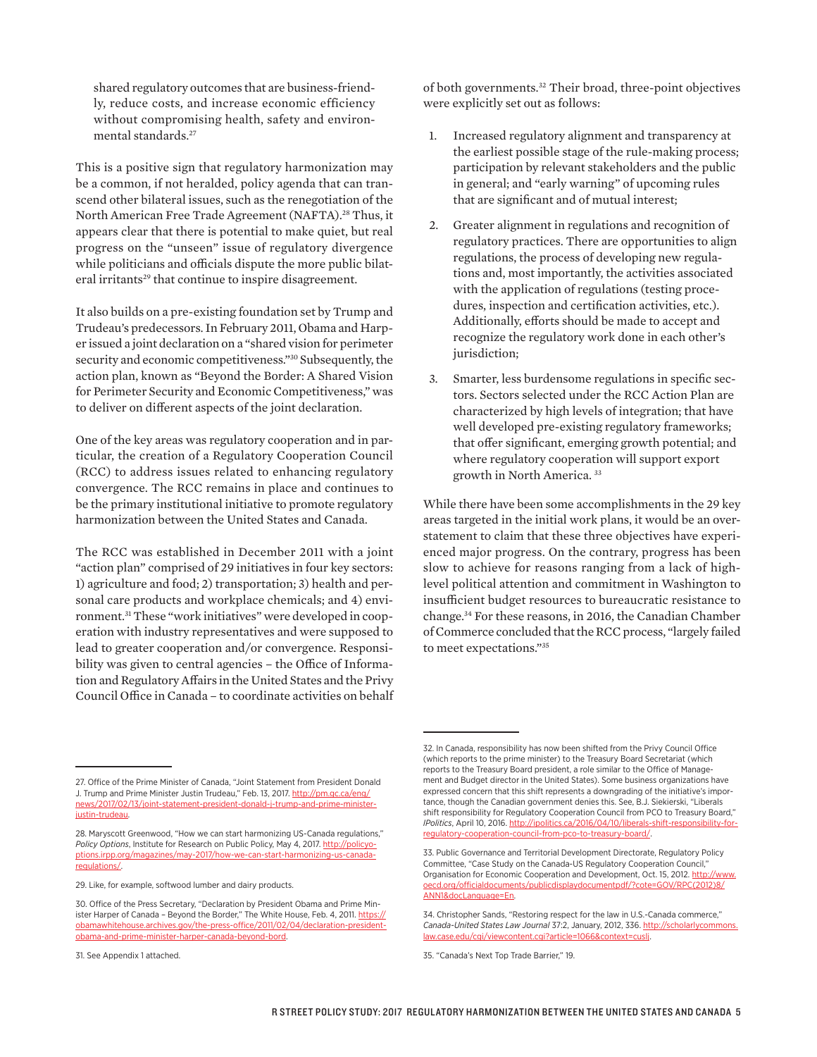shared regulatory outcomes that are business-friendly, reduce costs, and increase economic efficiency without compromising health, safety and environmental standards.27

This is a positive sign that regulatory harmonization may be a common, if not heralded, policy agenda that can transcend other bilateral issues, such as the renegotiation of the North American Free Trade Agreement (NAFTA).<sup>28</sup> Thus, it appears clear that there is potential to make quiet, but real progress on the "unseen" issue of regulatory divergence while politicians and officials dispute the more public bilateral irritants<sup>29</sup> that continue to inspire disagreement.

It also builds on a pre-existing foundation set by Trump and Trudeau's predecessors. In February 2011, Obama and Harper issued a joint declaration on a "shared vision for perimeter security and economic competitiveness."30 Subsequently, the action plan, known as "Beyond the Border: A Shared Vision for Perimeter Security and Economic Competitiveness," was to deliver on different aspects of the joint declaration.

One of the key areas was regulatory cooperation and in particular, the creation of a Regulatory Cooperation Council (RCC) to address issues related to enhancing regulatory convergence. The RCC remains in place and continues to be the primary institutional initiative to promote regulatory harmonization between the United States and Canada.

The RCC was established in December 2011 with a joint "action plan" comprised of 29 initiatives in four key sectors: 1) agriculture and food; 2) transportation; 3) health and personal care products and workplace chemicals; and 4) environment.31 These "work initiatives" were developed in cooperation with industry representatives and were supposed to lead to greater cooperation and/or convergence. Responsibility was given to central agencies – the Office of Information and Regulatory Affairs in the United States and the Privy Council Office in Canada – to coordinate activities on behalf

27. Office of the Prime Minister of Canada, "Joint Statement from President Donald J. Trump and Prime Minister Justin Trudeau," Feb. 13, 2017. [http://pm.gc.ca/eng/](http://pm.gc.ca/eng/news/2017/02/13/joint-statement-president-donald-j-trump-and-prime-minister-justin-trudeau) [news/2017/02/13/joint-statement-president-donald-j-trump-and-prime-minister](http://pm.gc.ca/eng/news/2017/02/13/joint-statement-president-donald-j-trump-and-prime-minister-justin-trudeau)[justin-trudeau.](http://pm.gc.ca/eng/news/2017/02/13/joint-statement-president-donald-j-trump-and-prime-minister-justin-trudeau)

of both governments.32 Their broad, three-point objectives were explicitly set out as follows:

- 1. Increased regulatory alignment and transparency at the earliest possible stage of the rule-making process; participation by relevant stakeholders and the public in general; and "early warning" of upcoming rules that are significant and of mutual interest;
- 2. Greater alignment in regulations and recognition of regulatory practices. There are opportunities to align regulations, the process of developing new regulations and, most importantly, the activities associated with the application of regulations (testing procedures, inspection and certification activities, etc.). Additionally, efforts should be made to accept and recognize the regulatory work done in each other's jurisdiction;
- 3. Smarter, less burdensome regulations in specific sectors. Sectors selected under the RCC Action Plan are characterized by high levels of integration; that have well developed pre-existing regulatory frameworks; that offer significant, emerging growth potential; and where regulatory cooperation will support export growth in North America. 33

While there have been some accomplishments in the 29 key areas targeted in the initial work plans, it would be an overstatement to claim that these three objectives have experienced major progress. On the contrary, progress has been slow to achieve for reasons ranging from a lack of highlevel political attention and commitment in Washington to insufficient budget resources to bureaucratic resistance to change.34 For these reasons, in 2016, the Canadian Chamber of Commerce concluded that the RCC process, "largely failed to meet expectations."35

<sup>28.</sup> Maryscott Greenwood, "How we can start harmonizing US-Canada regulations," Policy Options, Institute for Research on Public Policy, May 4, 2017. [http://policyo](http://policyoptions.irpp.org/magazines/may-2017/how-we-can-start-harmonizing-us-canada-regulations/)[ptions.irpp.org/magazines/may-2017/how-we-can-start-harmonizing-us-canada](http://policyoptions.irpp.org/magazines/may-2017/how-we-can-start-harmonizing-us-canada-regulations/)[regulations/.](http://policyoptions.irpp.org/magazines/may-2017/how-we-can-start-harmonizing-us-canada-regulations/)

<sup>29.</sup> Like, for example, softwood lumber and dairy products.

<sup>30.</sup> Office of the Press Secretary, "Declaration by President Obama and Prime Minister Harper of Canada - Beyond the Border," The White House, Feb. 4, 2011. [https://](https://obamawhitehouse.archives.gov/the-press-office/2011/02/04/declaration-president-obama-and-prime-minister-harper-canada-beyond-bord) [obamawhitehouse.archives.gov/the-press-office/2011/02/04/declaration-president](https://obamawhitehouse.archives.gov/the-press-office/2011/02/04/declaration-president-obama-and-prime-minister-harper-canada-beyond-bord)[obama-and-prime-minister-harper-canada-beyond-bord](https://obamawhitehouse.archives.gov/the-press-office/2011/02/04/declaration-president-obama-and-prime-minister-harper-canada-beyond-bord).

<sup>31.</sup> See Appendix 1 attached.

<sup>32.</sup> In Canada, responsibility has now been shifted from the Privy Council Office (which reports to the prime minister) to the Treasury Board Secretariat (which reports to the Treasury Board president, a role similar to the Office of Management and Budget director in the United States). Some business organizations have expressed concern that this shift represents a downgrading of the initiative's importance, though the Canadian government denies this. See, B.J. Siekierski, "Liberals shift responsibility for Regulatory Cooperation Council from PCO to Treasury Board," *IPolitics*, April 10, 2016. [http://ipolitics.ca/2016/04/10/liberals-shift-responsibility-for](http://ipolitics.ca/2016/04/10/liberals-shift-responsibility-for-regulatory-cooperation-council-from-pco-to-treasury-board/)[regulatory-cooperation-council-from-pco-to-treasury-board/](http://ipolitics.ca/2016/04/10/liberals-shift-responsibility-for-regulatory-cooperation-council-from-pco-to-treasury-board/).

<sup>33.</sup> Public Governance and Territorial Development Directorate, Regulatory Policy Committee, "Case Study on the Canada-US Regulatory Cooperation Council," Organisation for Economic Cooperation and Development, Oct. 15, 2012. [http://www.](http://www.oecd.org/officialdocuments/publicdisplaydocumentpdf/?cote=GOV/RPC(2012)8/ANN1&docLanguage=En) [oecd.org/officialdocuments/publicdisplaydocumentpdf/?cote=GOV/RPC\(2012\)8/](http://www.oecd.org/officialdocuments/publicdisplaydocumentpdf/?cote=GOV/RPC(2012)8/ANN1&docLanguage=En) [ANN1&docLanguage=En](http://www.oecd.org/officialdocuments/publicdisplaydocumentpdf/?cote=GOV/RPC(2012)8/ANN1&docLanguage=En).

<sup>34.</sup> Christopher Sands, "Restoring respect for the law in U.S.-Canada commerce," *Canada-United States Law Journal* 37:2, January, 2012, 336. [http://scholarlycommons.](http://scholarlycommons.law.case.edu/cgi/viewcontent.cgi?article=1066&context=cuslj) [law.case.edu/cgi/viewcontent.cgi?article=1066&context=cuslj.](http://scholarlycommons.law.case.edu/cgi/viewcontent.cgi?article=1066&context=cuslj)

<sup>35. &</sup>quot;Canada's Next Top Trade Barrier," 19.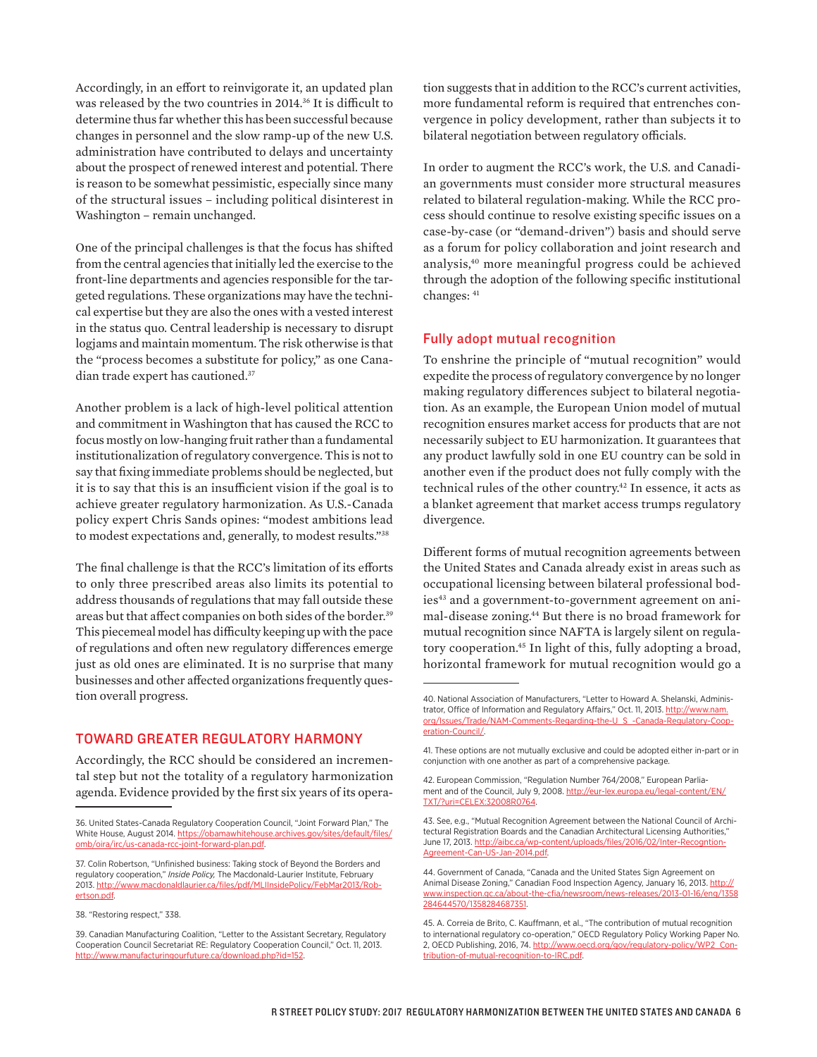Accordingly, in an effort to reinvigorate it, an updated plan was released by the two countries in 2014.36 It is difficult to determine thus far whether this has been successful because changes in personnel and the slow ramp-up of the new U.S. administration have contributed to delays and uncertainty about the prospect of renewed interest and potential. There is reason to be somewhat pessimistic, especially since many of the structural issues – including political disinterest in Washington – remain unchanged.

One of the principal challenges is that the focus has shifted from the central agencies that initially led the exercise to the front-line departments and agencies responsible for the targeted regulations. These organizations may have the technical expertise but they are also the ones with a vested interest in the status quo. Central leadership is necessary to disrupt logjams and maintain momentum. The risk otherwise is that the "process becomes a substitute for policy," as one Canadian trade expert has cautioned.37

Another problem is a lack of high-level political attention and commitment in Washington that has caused the RCC to focus mostly on low-hanging fruit rather than a fundamental institutionalization of regulatory convergence. This is not to say that fixing immediate problems should be neglected, but it is to say that this is an insufficient vision if the goal is to achieve greater regulatory harmonization. As U.S.-Canada policy expert Chris Sands opines: "modest ambitions lead to modest expectations and, generally, to modest results."38

The final challenge is that the RCC's limitation of its efforts to only three prescribed areas also limits its potential to address thousands of regulations that may fall outside these areas but that affect companies on both sides of the border.<sup>39</sup> This piecemeal model has difficulty keeping up with the pace of regulations and often new regulatory differences emerge just as old ones are eliminated. It is no surprise that many businesses and other affected organizations frequently question overall progress.

#### TOWARD GREATER REGULATORY HARMONY

Accordingly, the RCC should be considered an incremental step but not the totality of a regulatory harmonization agenda. Evidence provided by the first six years of its opera-

tion suggests that in addition to the RCC's current activities, more fundamental reform is required that entrenches convergence in policy development, rather than subjects it to bilateral negotiation between regulatory officials.

In order to augment the RCC's work, the U.S. and Canadian governments must consider more structural measures related to bilateral regulation-making. While the RCC process should continue to resolve existing specific issues on a case-by-case (or "demand-driven") basis and should serve as a forum for policy collaboration and joint research and analysis,40 more meaningful progress could be achieved through the adoption of the following specific institutional changes: 41

#### Fully adopt mutual recognition

To enshrine the principle of "mutual recognition" would expedite the process of regulatory convergence by no longer making regulatory differences subject to bilateral negotiation. As an example, the European Union model of mutual recognition ensures market access for products that are not necessarily subject to EU harmonization. It guarantees that any product lawfully sold in one EU country can be sold in another even if the product does not fully comply with the technical rules of the other country.<sup>42</sup> In essence, it acts as a blanket agreement that market access trumps regulatory divergence.

Different forms of mutual recognition agreements between the United States and Canada already exist in areas such as occupational licensing between bilateral professional bodies<sup>43</sup> and a government-to-government agreement on animal-disease zoning.44 But there is no broad framework for mutual recognition since NAFTA is largely silent on regulatory cooperation.45 In light of this, fully adopting a broad, horizontal framework for mutual recognition would go a

<sup>36.</sup> United States-Canada Regulatory Cooperation Council, "Joint Forward Plan," The White House, August 2014. [https://obamawhitehouse.archives.gov/sites/default/files/](https://obamawhitehouse.archives.gov/sites/default/files/omb/oira/irc/us-canada-rcc-joint-forward-plan.pdf) [omb/oira/irc/us-canada-rcc-joint-forward-plan.pdf.](https://obamawhitehouse.archives.gov/sites/default/files/omb/oira/irc/us-canada-rcc-joint-forward-plan.pdf)

<sup>37.</sup> Colin Robertson, "Unfinished business: Taking stock of Beyond the Borders and regulatory cooperation," *Inside Policy,* The Macdonald-Laurier Institute, February 2013. [http://www.macdonaldlaurier.ca/files/pdf/MLIInsidePolicy/FebMar2013/Rob](http://www.macdonaldlaurier.ca/files/pdf/MLIInsidePolicy/FebMar2013/Robertson.pdf)[ertson.pdf](http://www.macdonaldlaurier.ca/files/pdf/MLIInsidePolicy/FebMar2013/Robertson.pdf).

<sup>38. &</sup>quot;Restoring respect," 338.

<sup>39.</sup> Canadian Manufacturing Coalition, "Letter to the Assistant Secretary, Regulatory Cooperation Council Secretariat RE: Regulatory Cooperation Council," Oct. 11, 2013. <http://www.manufacturingourfuture.ca/download.php?id=152>.

<sup>40.</sup> National Association of Manufacturers, "Letter to Howard A. Shelanski, Administrator, Office of Information and Regulatory Affairs," Oct. 11, 2013. [http://www.nam.](http://www.nam.org/Issues/Trade/NAM-Comments-Regarding-the-U_S_-Canada-Regulatory-Cooperation-Council/) [org/Issues/Trade/NAM-Comments-Regarding-the-U\\_S\\_-Canada-Regulatory-Coop](http://www.nam.org/Issues/Trade/NAM-Comments-Regarding-the-U_S_-Canada-Regulatory-Cooperation-Council/)[eration-Council/.](http://www.nam.org/Issues/Trade/NAM-Comments-Regarding-the-U_S_-Canada-Regulatory-Cooperation-Council/)

<sup>41.</sup> These options are not mutually exclusive and could be adopted either in-part or in conjunction with one another as part of a comprehensive package.

<sup>42.</sup> European Commission, "Regulation Number 764/2008," European Parliament and of the Council, July 9, 2008. [http://eur-lex.europa.eu/legal-content/EN/](http://eur-lex.europa.eu/legal-content/EN/TXT/?uri=CELEX:32008R0764) [TXT/?uri=CELEX:32008R0764](http://eur-lex.europa.eu/legal-content/EN/TXT/?uri=CELEX:32008R0764).

<sup>43.</sup> See, e.g., "Mutual Recognition Agreement between the National Council of Architectural Registration Boards and the Canadian Architectural Licensing Authorities," June 17, 2013. http://aibc.ca/wp-content/uploads/files/2016/02/Inter-F [Agreement-Can-US-Jan-2014.pdf](http://aibc.ca/wp-content/uploads/files/2016/02/Inter-Recogntion-Agreement-Can-US-Jan-2014.pdf).

<sup>44.</sup> Government of Canada, "Canada and the United States Sign Agreement on Animal Disease Zoning," Canadian Food Inspection Agency, January 16, 2013. [http://](http://www.inspection.gc.ca/about-the-cfia/newsroom/news-releases/2013-01-16/eng/1358284644570/1358284687351) [www.inspection.gc.ca/about-the-cfia/newsroom/news-releases/2013-01-16/eng/1358](http://www.inspection.gc.ca/about-the-cfia/newsroom/news-releases/2013-01-16/eng/1358284644570/1358284687351) [284644570/1358284687351.](http://www.inspection.gc.ca/about-the-cfia/newsroom/news-releases/2013-01-16/eng/1358284644570/1358284687351)

<sup>45.</sup> A. Correia de Brito, C. Kauffmann, et al., "The contribution of mutual recognition to international regulatory co-operation," OECD Regulatory Policy Working Paper No. 2, OECD Publishing, 2016, 74. http://www.oecd.org/gov/regulatory-policy/WP2 [tribution-of-mutual-recognition-to-IRC.pdf](http://www.oecd.org/gov/regulatory-policy/WP2_Contribution-of-mutual-recognition-to-IRC.pdf).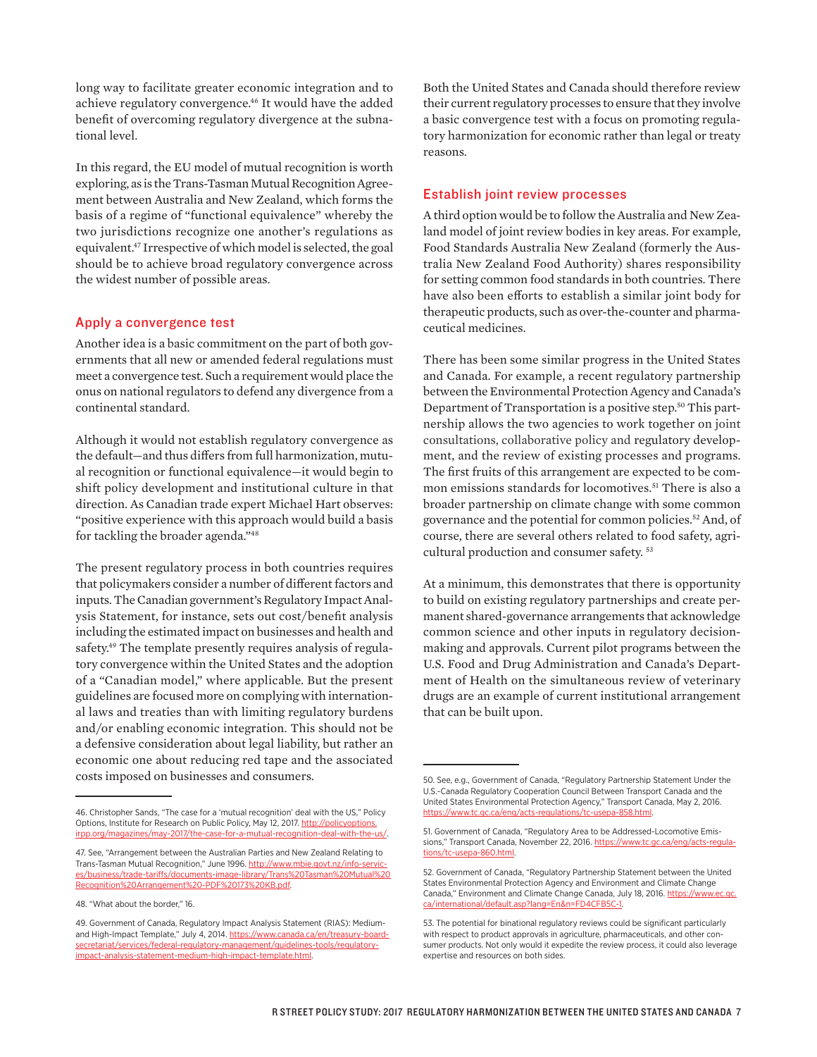long way to facilitate greater economic integration and to achieve regulatory convergence.46 It would have the added benefit of overcoming regulatory divergence at the subnational level.

In this regard, the EU model of mutual recognition is worth exploring, as is the Trans-Tasman Mutual Recognition Agreement between Australia and New Zealand, which forms the basis of a regime of "functional equivalence" whereby the two jurisdictions recognize one another's regulations as equivalent.47 Irrespective of which model is selected, the goal should be to achieve broad regulatory convergence across the widest number of possible areas.

#### Apply a convergence test

Another idea is a basic commitment on the part of both governments that all new or amended federal regulations must meet a convergence test. Such a requirement would place the onus on national regulators to defend any divergence from a continental standard.

Although it would not establish regulatory convergence as the default—and thus differs from full harmonization, mutual recognition or functional equivalence—it would begin to shift policy development and institutional culture in that direction. As Canadian trade expert Michael Hart observes: "positive experience with this approach would build a basis for tackling the broader agenda."48

The present regulatory process in both countries requires that policymakers consider a number of different factors and inputs. The Canadian government's Regulatory Impact Analysis Statement, for instance, sets out cost/benefit analysis including the estimated impact on businesses and health and safety.<sup>49</sup> The template presently requires analysis of regulatory convergence within the United States and the adoption of a "Canadian model," where applicable. But the present guidelines are focused more on complying with international laws and treaties than with limiting regulatory burdens and/or enabling economic integration. This should not be a defensive consideration about legal liability, but rather an economic one about reducing red tape and the associated costs imposed on businesses and consumers.

Both the United States and Canada should therefore review their current regulatory processes to ensure that they involve a basic convergence test with a focus on promoting regulatory harmonization for economic rather than legal or treaty reasons.

#### Establish joint review processes

A third option would be to follow the Australia and New Zealand model of joint review bodies in key areas. For example, Food Standards Australia New Zealand (formerly the Australia New Zealand Food Authority) shares responsibility for setting common food standards in both countries. There have also been efforts to establish a similar joint body for therapeutic products, such as over-the-counter and pharmaceutical medicines.

There has been some similar progress in the United States and Canada. For example, a recent regulatory partnership between the Environmental Protection Agency and Canada's Department of Transportation is a positive step.<sup>50</sup> This partnership allows the two agencies to work together on joint consultations, collaborative policy and regulatory development, and the review of existing processes and programs. The first fruits of this arrangement are expected to be common emissions standards for locomotives.51 There is also a broader partnership on climate change with some common governance and the potential for common policies.<sup>52</sup> And, of course, there are several others related to food safety, agricultural production and consumer safety. 53

At a minimum, this demonstrates that there is opportunity to build on existing regulatory partnerships and create permanent shared-governance arrangements that acknowledge common science and other inputs in regulatory decisionmaking and approvals. Current pilot programs between the U.S. Food and Drug Administration and Canada's Department of Health on the simultaneous review of veterinary drugs are an example of current institutional arrangement that can be built upon.

<sup>46.</sup> Christopher Sands, "The case for a 'mutual recognition' deal with the US," Policy Options, Institute for Research on Public Policy, May 12, 2017. [http://policyoptions.](http://policyoptions.irpp.org/magazines/may-2017/the-case-for-a-mutual-recognition-deal-with-the-us/) [irpp.org/magazines/may-2017/the-case-for-a-mutual-recognition-deal-with-the-us/](http://policyoptions.irpp.org/magazines/may-2017/the-case-for-a-mutual-recognition-deal-with-the-us/).

<sup>47.</sup> See, "Arrangement between the Australian Parties and New Zealand Relating to Trans-Tasman Mutual Recognition," June 1996. [http://www.mbie.govt.nz/info-servic](http://www.mbie.govt.nz/info-services/business/trade-tariffs/documents-image-library/Trans%20Tasman%20Mutual%20Recognition%20Arrangement%20-PDF%20173%20KB.pdf)[es/business/trade-tariffs/documents-image-library/Trans%20Tasman%20Mutual%20](http://www.mbie.govt.nz/info-services/business/trade-tariffs/documents-image-library/Trans%20Tasman%20Mutual%20Recognition%20Arrangement%20-PDF%20173%20KB.pdf) [Recognition%20Arrangement%20-PDF%20173%20KB.pdf](http://www.mbie.govt.nz/info-services/business/trade-tariffs/documents-image-library/Trans%20Tasman%20Mutual%20Recognition%20Arrangement%20-PDF%20173%20KB.pdf).

<sup>48. &</sup>quot;What about the border," 16.

<sup>49.</sup> Government of Canada, Regulatory Impact Analysis Statement (RIAS): Mediumand High-Impact Template," July 4, 2014. [https://www.canada.ca/en/treasury-board](https://www.canada.ca/en/treasury-board-secretariat/services/federal-regulatory-management/guidelines-tools/regulatory-impact-analysis-statement-medium-high-impact-template.html)[secretariat/services/federal-regulatory-management/guidelines-tools/regulatory](https://www.canada.ca/en/treasury-board-secretariat/services/federal-regulatory-management/guidelines-tools/regulatory-impact-analysis-statement-medium-high-impact-template.html)[impact-analysis-statement-medium-high-impact-template.html](https://www.canada.ca/en/treasury-board-secretariat/services/federal-regulatory-management/guidelines-tools/regulatory-impact-analysis-statement-medium-high-impact-template.html).

<sup>50.</sup> See, e.g., Government of Canada, "Regulatory Partnership Statement Under the U.S.-Canada Regulatory Cooperation Council Between Transport Canada and the United States Environmental Protection Agency," Transport Canada, May 2, 2016. [https://www.tc.gc.ca/eng/acts-regulations/tc-usepa-858.html.](https://www.tc.gc.ca/eng/acts-regulations/tc-usepa-858.html)

<sup>51.</sup> Government of Canada, "Regulatory Area to be Addressed-Locomotive Emissions," Transport Canada, November 22, 2016. [https://www.tc.gc.ca/eng/acts-regula](https://www.tc.gc.ca/eng/acts-regulations/tc-usepa-860.html)[tions/tc-usepa-860.html](https://www.tc.gc.ca/eng/acts-regulations/tc-usepa-860.html).

<sup>52.</sup> Government of Canada, "Regulatory Partnership Statement between the United States Environmental Protection Agency and Environment and Climate Change Canada," Environment and Climate Change Canada, July 18, 2016. https://www.ec.gc [ca/international/default.asp?lang=En&n=FD4CFB5C-1](https://www.ec.gc.ca/international/default.asp?lang=En&n=FD4CFB5C-1).

<sup>53.</sup> The potential for binational regulatory reviews could be significant particularly with respect to product approvals in agriculture, pharmaceuticals, and other consumer products. Not only would it expedite the review process, it could also leverage expertise and resources on both sides.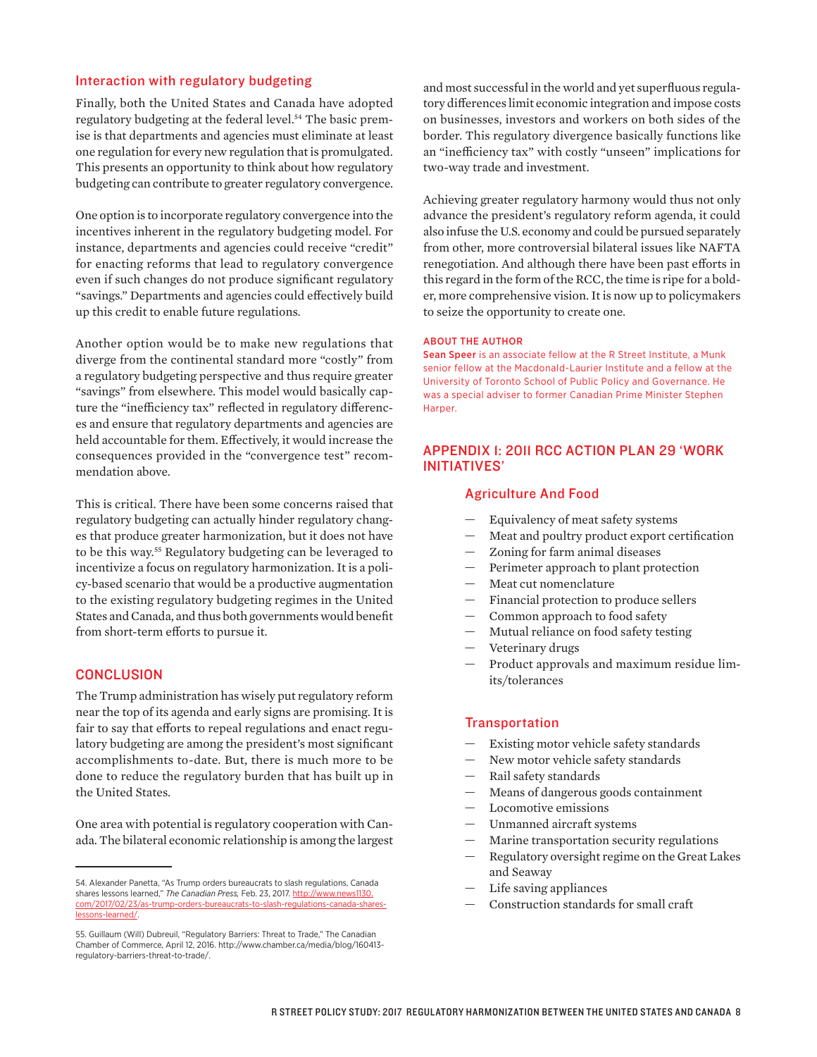## Interaction with regulatory budgeting

Finally, both the United States and Canada have adopted regulatory budgeting at the federal level.<sup>54</sup> The basic premise is that departments and agencies must eliminate at least one regulation for every new regulation that is promulgated. This presents an opportunity to think about how regulatory budgeting can contribute to greater regulatory convergence.

One option is to incorporate regulatory convergence into the incentives inherent in the regulatory budgeting model. For instance, departments and agencies could receive "credit" for enacting reforms that lead to regulatory convergence even if such changes do not produce significant regulatory "savings." Departments and agencies could effectively build up this credit to enable future regulations.

Another option would be to make new regulations that diverge from the continental standard more "costly" from a regulatory budgeting perspective and thus require greater "savings" from elsewhere. This model would basically capture the "inefficiency tax" reflected in regulatory differences and ensure that regulatory departments and agencies are held accountable for them. Effectively, it would increase the consequences provided in the "convergence test" recommendation above.

This is critical. There have been some concerns raised that regulatory budgeting can actually hinder regulatory changes that produce greater harmonization, but it does not have to be this way.55 Regulatory budgeting can be leveraged to incentivize a focus on regulatory harmonization. It is a policy-based scenario that would be a productive augmentation to the existing regulatory budgeting regimes in the United States and Canada, and thus both governments would benefit from short-term efforts to pursue it.

#### **CONCLUSION**

The Trump administration has wisely put regulatory reform near the top of its agenda and early signs are promising. It is fair to say that efforts to repeal regulations and enact regulatory budgeting are among the president's most significant accomplishments to-date. But, there is much more to be done to reduce the regulatory burden that has built up in the United States.

One area with potential is regulatory cooperation with Canada. The bilateral economic relationship is among the largest

and most successful in the world and yet superfluous regulatory differences limit economic integration and impose costs on businesses, investors and workers on both sides of the border. This regulatory divergence basically functions like an "inefficiency tax" with costly "unseen" implications for two-way trade and investment.

Achieving greater regulatory harmony would thus not only advance the president's regulatory reform agenda, it could also infuse the U.S. economy and could be pursued separately from other, more controversial bilateral issues like NAFTA renegotiation. And although there have been past efforts in this regard in the form of the RCC, the time is ripe for a bolder, more comprehensive vision. It is now up to policymakers to seize the opportunity to create one.

#### ABOUT THE AUTHOR

Sean Speer is an associate fellow at the R Street Institute, a Munk senior fellow at the Macdonald-Laurier Institute and a fellow at the University of Toronto School of Public Policy and Governance. He was a special adviser to former Canadian Prime Minister Stephen Harper.

## APPENDIX 1: 2011 RCC ACTION PLAN 29 'WORK INITIATIVES'

#### Agriculture And Food

- ɝ Equivalency of meat safety systems
- ɝ Meat and poultry product export certification
- ɝ Zoning for farm animal diseases
- Perimeter approach to plant protection
- ɝ Meat cut nomenclature
- ɝ Financial protection to produce sellers
- Common approach to food safety
- ɝ Mutual reliance on food safety testing
- ɝ Veterinary drugs
- ɝ Product approvals and maximum residue limits/tolerances

#### **Transportation**

- ɝ Existing motor vehicle safety standards
- ɝ New motor vehicle safety standards
- ɝ Rail safety standards
- ɝ Means of dangerous goods containment
- ɝ Locomotive emissions
- ɝ Unmanned aircraft systems
- ɝ Marine transportation security regulations
- ɝ Regulatory oversight regime on the Great Lakes and Seaway
- ɝ Life saving appliances
- ɝ Construction standards for small craft

<sup>54.</sup> Alexander Panetta, "As Trump orders bureaucrats to slash regulations, Canada shares lessons learned," *The Canadian Press,* Feb. 23, 2017. [http://www.news1130.](http://www.news1130.com/2017/02/23/as-trump-orders-bureaucrats-to-slash-regulations-canada-shares-lessons-learned/) [com/2017/02/23/as-trump-orders-bureaucrats-to-slash-regulations-canada-shares](http://www.news1130.com/2017/02/23/as-trump-orders-bureaucrats-to-slash-regulations-canada-shares-lessons-learned/)[lessons-learned/](http://www.news1130.com/2017/02/23/as-trump-orders-bureaucrats-to-slash-regulations-canada-shares-lessons-learned/).

<sup>55.</sup> Guillaum (Will) Dubreuil, "Regulatory Barriers: Threat to Trade," The Canadian Chamber of Commerce, April 12, 2016. http://www.chamber.ca/media/blog/160413 regulatory-barriers-threat-to-trade/.